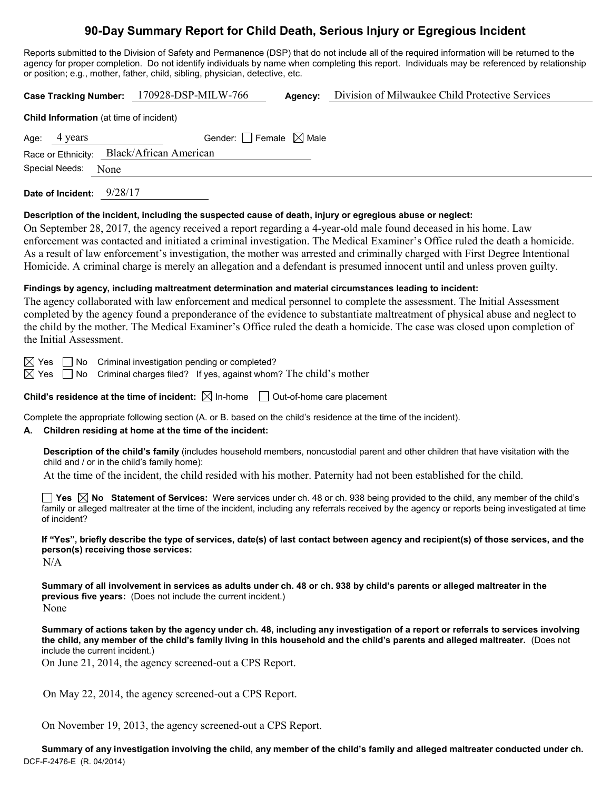# **90-Day Summary Report for Child Death, Serious Injury or Egregious Incident**

Reports submitted to the Division of Safety and Permanence (DSP) that do not include all of the required information will be returned to the agency for proper completion. Do not identify individuals by name when completing this report. Individuals may be referenced by relationship or position; e.g., mother, father, child, sibling, physician, detective, etc.

| 170928-DSP-MILW-766<br>Division of Milwaukee Child Protective Services<br><b>Case Tracking Number:</b><br>Agency:                                                                                                                                                                                                                                                                                                                                                                                                                                                                                                        |  |  |  |  |
|--------------------------------------------------------------------------------------------------------------------------------------------------------------------------------------------------------------------------------------------------------------------------------------------------------------------------------------------------------------------------------------------------------------------------------------------------------------------------------------------------------------------------------------------------------------------------------------------------------------------------|--|--|--|--|
| Child Information (at time of incident)                                                                                                                                                                                                                                                                                                                                                                                                                                                                                                                                                                                  |  |  |  |  |
| Gender: Female $\boxtimes$ Male<br>4 years<br>Age:<br><b>Black/African American</b><br>Race or Ethnicity:<br>Special Needs:<br>None                                                                                                                                                                                                                                                                                                                                                                                                                                                                                      |  |  |  |  |
| Date of Incident: 9/28/17                                                                                                                                                                                                                                                                                                                                                                                                                                                                                                                                                                                                |  |  |  |  |
| Description of the incident, including the suspected cause of death, injury or egregious abuse or neglect:<br>On September 28, 2017, the agency received a report regarding a 4-year-old male found deceased in his home. Law<br>enforcement was contacted and initiated a criminal investigation. The Medical Examiner's Office ruled the death a homicide.<br>As a result of law enforcement's investigation, the mother was arrested and criminally charged with First Degree Intentional<br>Homicide. A criminal charge is merely an allegation and a defendant is presumed innocent until and unless proven guilty. |  |  |  |  |
| Findings by agency, including maltreatment determination and material circumstances leading to incident:<br>The agency collaborated with law enforcement and medical personnel to complete the assessment. The Initial Assessment<br>completed by the agency found a preponderance of the evidence to substantiate maltreatment of physical abuse and neglect to<br>the child by the mother. The Medical Examiner's Office ruled the death a homicide. The case was closed upon completion of<br>the Initial Assessment.                                                                                                 |  |  |  |  |
| $\boxtimes$ Yes $\Box$ No Criminal investigation pending or completed?<br>Criminal charges filed? If yes, against whom? The child's mother<br>$\boxtimes$ Yes $\Box$ No                                                                                                                                                                                                                                                                                                                                                                                                                                                  |  |  |  |  |
| <b>Child's residence at the time of incident:</b> $\boxtimes$ In-home $\Box$ Out-of-home care placement                                                                                                                                                                                                                                                                                                                                                                                                                                                                                                                  |  |  |  |  |
| Complete the appropriate following section (A. or B. based on the child's residence at the time of the incident).<br>Children residing at home at the time of the incident:<br>А.                                                                                                                                                                                                                                                                                                                                                                                                                                        |  |  |  |  |
| Description of the child's family (includes household members, noncustodial parent and other children that have visitation with the<br>child and / or in the child's family home):<br>At the time of the incident, the child resided with his mother. Paternity had not been established for the child.                                                                                                                                                                                                                                                                                                                  |  |  |  |  |
| Yes $\boxtimes$ No Statement of Services: Were services under ch. 48 or ch. 938 being provided to the child, any member of the child's<br>family or alleged maltreater at the time of the incident, including any referrals received by the agency or reports being investigated at time<br>of incident?                                                                                                                                                                                                                                                                                                                 |  |  |  |  |
| If "Yes", briefly describe the type of services, date(s) of last contact between agency and recipient(s) of those services, and the<br>person(s) receiving those services:<br>N/A                                                                                                                                                                                                                                                                                                                                                                                                                                        |  |  |  |  |
| Summary of all involvement in services as adults under ch. 48 or ch. 938 by child's parents or alleged maltreater in the<br>previous five years: (Does not include the current incident.)<br>None                                                                                                                                                                                                                                                                                                                                                                                                                        |  |  |  |  |
| Summary of actions taken by the agency under ch. 48, including any investigation of a report or referrals to services involving<br>the child, any member of the child's family living in this household and the child's parents and alleged maltreater. (Does not<br>include the current incident.)                                                                                                                                                                                                                                                                                                                      |  |  |  |  |
| On June 21, 2014, the agency screened-out a CPS Report.                                                                                                                                                                                                                                                                                                                                                                                                                                                                                                                                                                  |  |  |  |  |
| On May 22, 2014, the agency screened-out a CPS Report.                                                                                                                                                                                                                                                                                                                                                                                                                                                                                                                                                                   |  |  |  |  |
| On November 19, 2013, the agency screened-out a CPS Report.                                                                                                                                                                                                                                                                                                                                                                                                                                                                                                                                                              |  |  |  |  |

DCF-F-2476-E (R. 04/2014) **Summary of any investigation involving the child, any member of the child's family and alleged maltreater conducted under ch.**